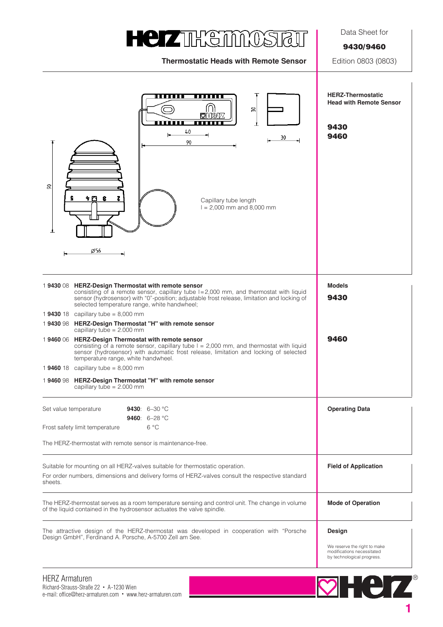# **HeizTHETMOSTET**

**Thermostatic Heads with Remote Sensor** Edition 0803 (0803)

Data Sheet for

**9430/9460**

| .<br>움<br>MHP74<br>66 O D D<br><b>THE REAL</b><br>40<br>30<br>90<br>g<br>ነ ርገ<br>s<br>ε<br>Capillary tube length<br>$I = 2,000$ mm and 8,000 mm<br>Ø56                                                                                                                                                                                                                                                                                                                                                                                                                                                                                                                                                                                                                                                                                               | <b>HERZ-Thermostatic</b><br><b>Head with Remote Sensor</b><br>9430<br>9460                         |
|------------------------------------------------------------------------------------------------------------------------------------------------------------------------------------------------------------------------------------------------------------------------------------------------------------------------------------------------------------------------------------------------------------------------------------------------------------------------------------------------------------------------------------------------------------------------------------------------------------------------------------------------------------------------------------------------------------------------------------------------------------------------------------------------------------------------------------------------------|----------------------------------------------------------------------------------------------------|
| 1943008 HERZ-Design Thermostat with remote sensor<br>consisting of a remote sensor, capillary tube $I = 2,000$ mm, and thermostat with liquid<br>sensor (hydrosensor) with "0"-position; adjustable frost release, limitation and locking of<br>selected temperature range, white handwheel;<br>1 <b>9430</b> 18 capillary tube = 8,000 mm<br>1943098 HERZ-Design Thermostat "H" with remote sensor<br>capillary tube = $2.000$ mm<br>1946006 HERZ-Design Thermostat with remote sensor<br>consisting of a remote sensor, capillary tube $I = 2,000$ mm, and thermostat with liquid<br>sensor (hydrosensor) with automatic frost release, limitation and locking of selected<br>temperature range, white handwheel.<br>1 9460 18 capillary tube = $8,000$ mm<br>1946098 HERZ-Design Thermostat "H" with remote sensor<br>capillary tube = $2.000$ mm | <b>Models</b><br>9430<br>9460                                                                      |
| 9430: $6-30 °C$<br>Set value temperature<br>9460: $6-28$ °C<br>$6^{\circ}$ C<br>Frost safety limit temperature<br>The HERZ-thermostat with remote sensor is maintenance-free.                                                                                                                                                                                                                                                                                                                                                                                                                                                                                                                                                                                                                                                                        | <b>Operating Data</b>                                                                              |
| Suitable for mounting on all HERZ-valves suitable for thermostatic operation.<br>For order numbers, dimensions and delivery forms of HERZ-valves consult the respective standard<br>sheets.                                                                                                                                                                                                                                                                                                                                                                                                                                                                                                                                                                                                                                                          | <b>Field of Application</b>                                                                        |
| The HERZ-thermostat serves as a room temperature sensing and control unit. The change in volume<br>of the liquid contained in the hydrosensor actuates the valve spindle.                                                                                                                                                                                                                                                                                                                                                                                                                                                                                                                                                                                                                                                                            | <b>Mode of Operation</b>                                                                           |
| The attractive design of the HERZ-thermostat was developed in cooperation with "Porsche<br>Design GmbH", Ferdinand A. Porsche, A-5700 Zell am See.                                                                                                                                                                                                                                                                                                                                                                                                                                                                                                                                                                                                                                                                                                   | Design<br>We reserve the right to make<br>modifications necessitated<br>by technological progress. |

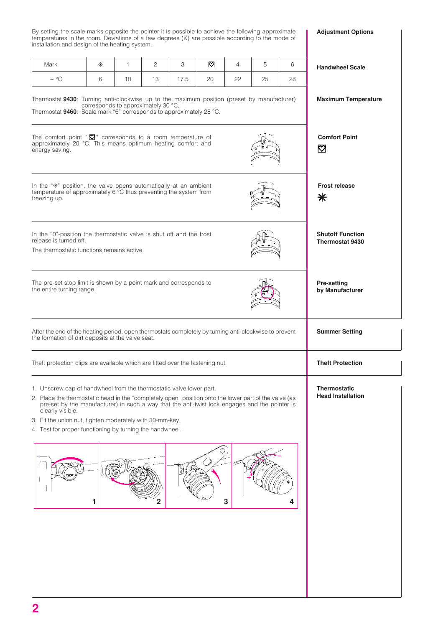By setting the scale marks opposite the pointer it is possible to achieve the following approximate temperatures in the room. Deviations of a few degrees (K) are possible according to the mode of installation and design of the heating system.

**Adjustment Options**

| installation and design of the heating system.                                                                                                                                                                                                                                                                                                                                                                             |   |                                     |              |      |                       |                |                                                 |    |                                                   |
|----------------------------------------------------------------------------------------------------------------------------------------------------------------------------------------------------------------------------------------------------------------------------------------------------------------------------------------------------------------------------------------------------------------------------|---|-------------------------------------|--------------|------|-----------------------|----------------|-------------------------------------------------|----|---------------------------------------------------|
| Mark                                                                                                                                                                                                                                                                                                                                                                                                                       | * | $\mathbf{1}$                        | $\mathbf{2}$ | 3    | $\boldsymbol{\nabla}$ | $\overline{4}$ | 5                                               | 6  | <b>Handwheel Scale</b>                            |
| $\sim$ °C                                                                                                                                                                                                                                                                                                                                                                                                                  | 6 | 10                                  | 13           | 17.5 | 20                    | 22             | 25                                              | 28 |                                                   |
| Thermostat 9430: Turning anti-clockwise up to the maximum position (preset by manufacturer)<br>Thermostat 9460: Scale mark "6" corresponds to approximately 28 °C.                                                                                                                                                                                                                                                         |   | corresponds to approximately 30 °C. |              |      |                       |                |                                                 |    | <b>Maximum Temperature</b>                        |
| The comfort point " $\mathbf{\nabla}$ " corresponds to a room temperature of<br>approximately 20 °C. This means optimum heating comfort and<br>energy saving.                                                                                                                                                                                                                                                              |   |                                     |              |      |                       |                |                                                 |    | <b>Comfort Point</b><br>⊠                         |
| In the "*" position, the valve opens automatically at an ambient<br>temperature of approximately 6 °C thus preventing the system from<br>freezing up.                                                                                                                                                                                                                                                                      |   |                                     |              |      |                       |                |                                                 |    | <b>Frost release</b><br>⋇                         |
| In the "0"-position the thermostatic valve is shut off and the frost<br>release is turned off.<br>The thermostatic functions remains active.                                                                                                                                                                                                                                                                               |   |                                     |              |      |                       |                |                                                 |    | <b>Shutoff Function</b><br><b>Thermostat 9430</b> |
| The pre-set stop limit is shown by a point mark and corresponds to<br>the entire turning range.                                                                                                                                                                                                                                                                                                                            |   |                                     |              |      |                       |                |                                                 |    | Pre-setting<br>by Manufacturer                    |
| After the end of the heating period, open thermostats completely by turning anti-clockwise to prevent<br>the formation of dirt deposits at the valve seat.                                                                                                                                                                                                                                                                 |   |                                     |              |      |                       |                |                                                 |    | <b>Summer Setting</b>                             |
| Theft protection clips are available which are fitted over the fastening nut.                                                                                                                                                                                                                                                                                                                                              |   |                                     |              |      |                       |                | <b>Theft Protection</b>                         |    |                                                   |
| 1. Unscrew cap of handwheel from the thermostatic valve lower part.<br>2. Place the thermostatic head in the "completely open" position onto the lower part of the valve (as<br>pre-set by the manufacturer) in such a way that the anti-twist lock engages and the pointer is<br>clearly visible.<br>3. Fit the union nut, tighten moderately with 30-mm-key.<br>4. Test for proper functioning by turning the handwheel. |   |                                     |              |      |                       |                | <b>Thermostatic</b><br><b>Head Installation</b> |    |                                                   |
|                                                                                                                                                                                                                                                                                                                                                                                                                            | 1 |                                     |              |      |                       | 3              |                                                 | Δ  |                                                   |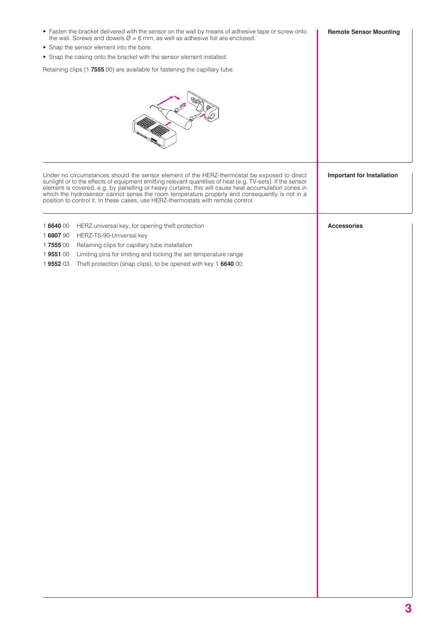| • Fasten the bracket delivered with the sensor on the wall by means of adhesive tape or screw onto<br>the wall. Screws and dowels $\varnothing$ = 6 mm, as well as adhesive foil are enclosed.                                                                                                                                                                                                                                                                                                          | <b>Remote Sensor Mounting</b>     |  |  |
|---------------------------------------------------------------------------------------------------------------------------------------------------------------------------------------------------------------------------------------------------------------------------------------------------------------------------------------------------------------------------------------------------------------------------------------------------------------------------------------------------------|-----------------------------------|--|--|
| • Snap the sensor element into the bore.                                                                                                                                                                                                                                                                                                                                                                                                                                                                |                                   |  |  |
| • Snap the casing onto the bracket with the sensor element installed.                                                                                                                                                                                                                                                                                                                                                                                                                                   |                                   |  |  |
| Retaining clips (1 7555 00) are available for fastening the capillary tube.                                                                                                                                                                                                                                                                                                                                                                                                                             |                                   |  |  |
|                                                                                                                                                                                                                                                                                                                                                                                                                                                                                                         |                                   |  |  |
| Under no circumstances should the sensor element of the HERZ-thermostat be exposed to direct<br>sunlight or to the effects of equipment emitting relevant quantities of heat (e.g. TV-sets). If the sensor<br>element is covered, e.g. by panelling or heavy curtains, this will cause heat accumulation zones in<br>which the hydrosensor cannot sense the room temperature properly and consequently is not in a<br>position to control it. In these cases, use HERZ-thermostats with remote control. | <b>Important for Installation</b> |  |  |
| HERZ universal key, for opening theft protection<br>1664000<br>1680790<br>HERZ-TS-90-Universal key<br>1755500<br>Retaining clips for capillary tube installation<br>Limiting pins for limiting and locking the set temperature range<br>1955100<br>1955203<br>Theft protection (snap clips), to be opened with key 1 6640 00                                                                                                                                                                            | <b>Accessories</b>                |  |  |